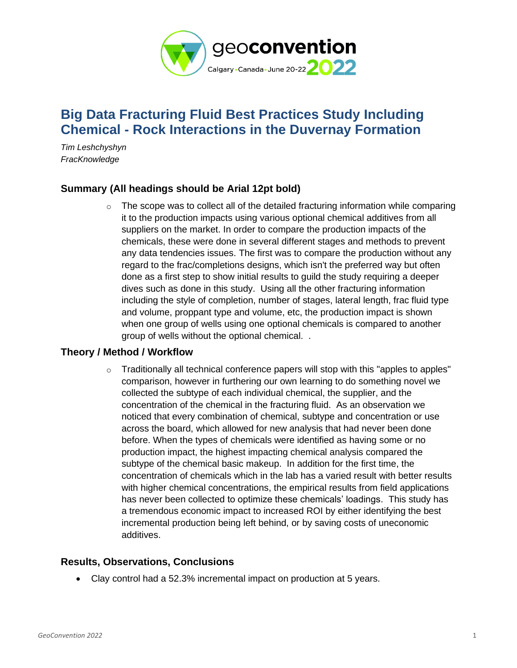

# **Big Data Fracturing Fluid Best Practices Study Including Chemical - Rock Interactions in the Duvernay Formation**

*Tim Leshchyshyn FracKnowledge*

## **Summary (All headings should be Arial 12pt bold)**

 $\circ$  The scope was to collect all of the detailed fracturing information while comparing it to the production impacts using various optional chemical additives from all suppliers on the market. In order to compare the production impacts of the chemicals, these were done in several different stages and methods to prevent any data tendencies issues. The first was to compare the production without any regard to the frac/completions designs, which isn't the preferred way but often done as a first step to show initial results to guild the study requiring a deeper dives such as done in this study. Using all the other fracturing information including the style of completion, number of stages, lateral length, frac fluid type and volume, proppant type and volume, etc, the production impact is shown when one group of wells using one optional chemicals is compared to another group of wells without the optional chemical. .

# **Theory / Method / Workflow**

 $\circ$  Traditionally all technical conference papers will stop with this "apples to apples" comparison, however in furthering our own learning to do something novel we collected the subtype of each individual chemical, the supplier, and the concentration of the chemical in the fracturing fluid. As an observation we noticed that every combination of chemical, subtype and concentration or use across the board, which allowed for new analysis that had never been done before. When the types of chemicals were identified as having some or no production impact, the highest impacting chemical analysis compared the subtype of the chemical basic makeup. In addition for the first time, the concentration of chemicals which in the lab has a varied result with better results with higher chemical concentrations, the empirical results from field applications has never been collected to optimize these chemicals' loadings. This study has a tremendous economic impact to increased ROI by either identifying the best incremental production being left behind, or by saving costs of uneconomic additives.

### **Results, Observations, Conclusions**

• Clay control had a 52.3% incremental impact on production at 5 years.